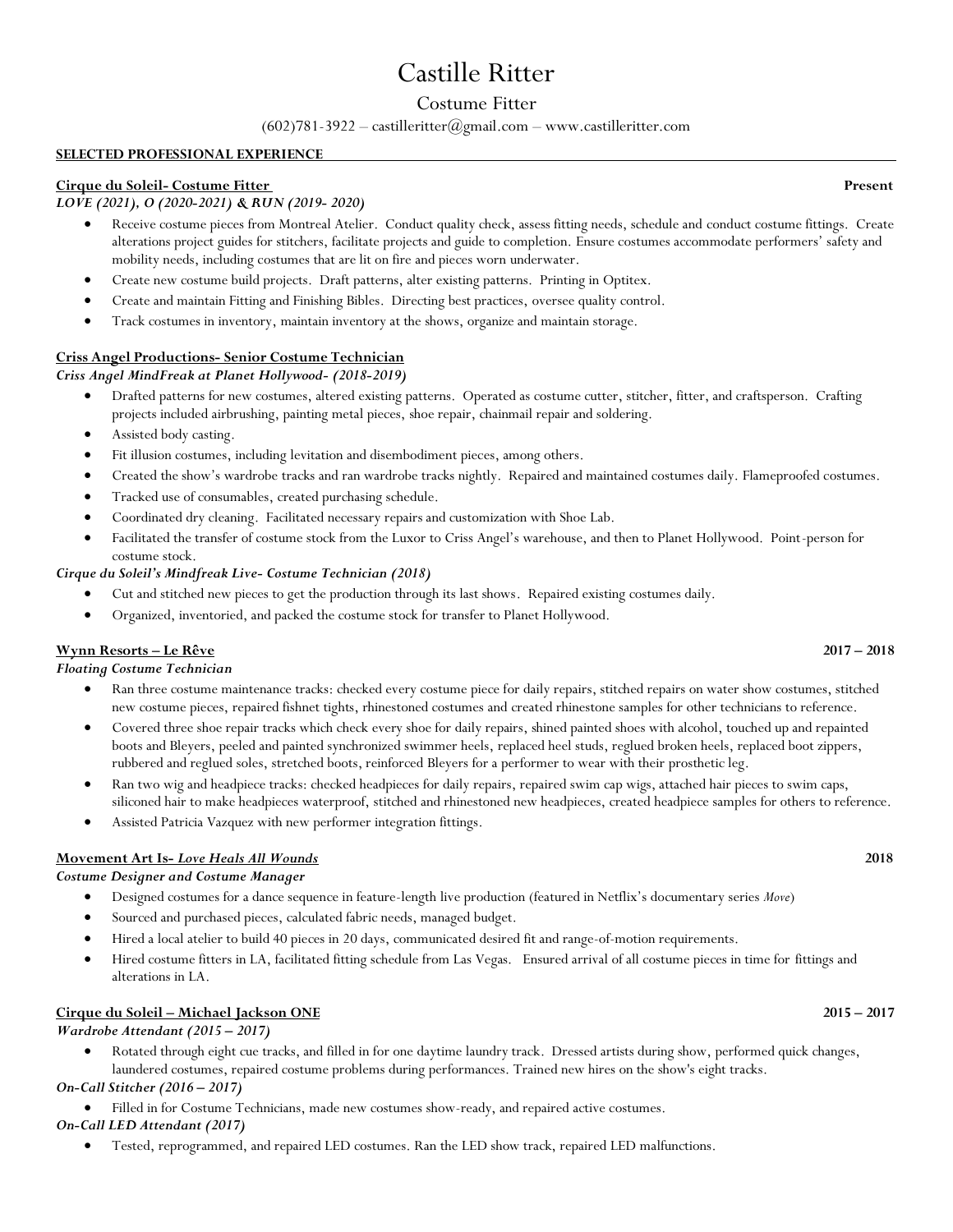# Castille Ritter

# Costume Fitter

(602)781-3922 – castilleritter@gmail.com – www.castilleritter.com

## **SELECTED PROFESSIONAL EXPERIENCE**

## **Cirque du Soleil- Costume Fitter Present**

## *LOVE (2021), O (2020-2021) & RUN (2019- 2020)*

- Receive costume pieces from Montreal Atelier. Conduct quality check, assess fitting needs, schedule and conduct costume fittings. Create alterations project guides for stitchers, facilitate projects and guide to completion. Ensure costumes accommodate performers' safety and mobility needs, including costumes that are lit on fire and pieces worn underwater.
- Create new costume build projects. Draft patterns, alter existing patterns. Printing in Optitex.
- Create and maintain Fitting and Finishing Bibles. Directing best practices, oversee quality control.
- Track costumes in inventory, maintain inventory at the shows, organize and maintain storage.

## **Criss Angel Productions- Senior Costume Technician**

*Criss Angel MindFreak at Planet Hollywood- (2018-2019)*

- Drafted patterns for new costumes, altered existing patterns. Operated as costume cutter, stitcher, fitter, and craftsperson. Crafting projects included airbrushing, painting metal pieces, shoe repair, chainmail repair and soldering.
- Assisted body casting.
- Fit illusion costumes, including levitation and disembodiment pieces, among others.
- Created the show's wardrobe tracks and ran wardrobe tracks nightly. Repaired and maintained costumes daily. Flameproofed costumes.
- Tracked use of consumables, created purchasing schedule.
- Coordinated dry cleaning. Facilitated necessary repairs and customization with Shoe Lab.
- Facilitated the transfer of costume stock from the Luxor to Criss Angel's warehouse, and then to Planet Hollywood. Point-person for costume stock.

### *Cirque du Soleil's Mindfreak Live- Costume Technician (2018)*

- Cut and stitched new pieces to get the production through its last shows. Repaired existing costumes daily.
- Organized, inventoried, and packed the costume stock for transfer to Planet Hollywood.

## **Wynn Resorts – Le Rêve 2017 – 2018**

*Floating Costume Technician*

- Ran three costume maintenance tracks: checked every costume piece for daily repairs, stitched repairs on water show costumes, stitched new costume pieces, repaired fishnet tights, rhinestoned costumes and created rhinestone samples for other technicians to reference.
- Covered three shoe repair tracks which check every shoe for daily repairs, shined painted shoes with alcohol, touched up and repainted boots and Bleyers, peeled and painted synchronized swimmer heels, replaced heel studs, reglued broken heels, replaced boot zippers, rubbered and reglued soles, stretched boots, reinforced Bleyers for a performer to wear with their prosthetic leg.
- Ran two wig and headpiece tracks: checked headpieces for daily repairs, repaired swim cap wigs, attached hair pieces to swim caps, siliconed hair to make headpieces waterproof, stitched and rhinestoned new headpieces, created headpiece samples for others to reference.
- Assisted Patricia Vazquez with new performer integration fittings.

## **Movement Art Is-** *Love Heals All Wounds* **2018**

### *Costume Designer and Costume Manager*

- Designed costumes for a dance sequence in feature-length live production (featured in Netflix's documentary series *Move*)
- Sourced and purchased pieces, calculated fabric needs, managed budget.
- Hired a local atelier to build 40 pieces in 20 days, communicated desired fit and range-of-motion requirements.
- Hired costume fitters in LA, facilitated fitting schedule from Las Vegas. Ensured arrival of all costume pieces in time for fittings and alterations in LA.

## **Cirque du Soleil – Michael Jackson ONE 2015 – 2017**

*Wardrobe Attendant (2015 – 2017)*

• Rotated through eight cue tracks, and filled in for one daytime laundry track. Dressed artists during show, performed quick changes, laundered costumes, repaired costume problems during performances. Trained new hires on the show's eight tracks.

## *On-Call Stitcher (2016 – 2017)*

• Filled in for Costume Technicians, made new costumes show-ready, and repaired active costumes.

## *On-Call LED Attendant (2017)*

• Tested, reprogrammed, and repaired LED costumes. Ran the LED show track, repaired LED malfunctions.